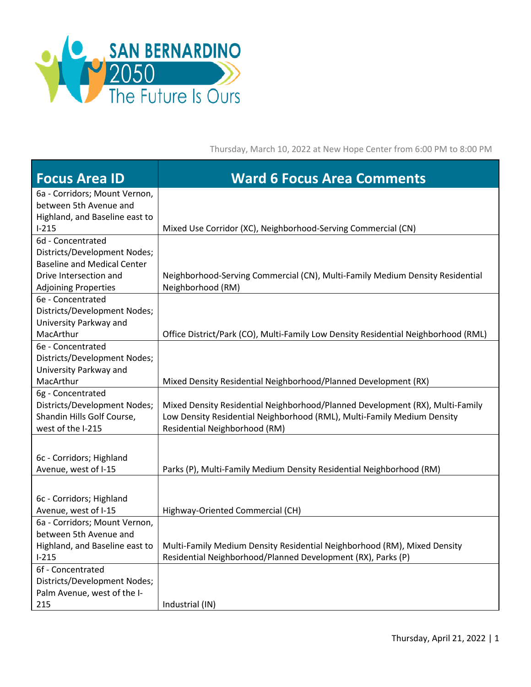

Thursday, March 10, 2022 at New Hope Center from 6:00 PM to 8:00 PM

| <b>Focus Area ID</b>                                   | <b>Ward 6 Focus Area Comments</b>                                                  |
|--------------------------------------------------------|------------------------------------------------------------------------------------|
| 6a - Corridors; Mount Vernon,                          |                                                                                    |
| between 5th Avenue and                                 |                                                                                    |
| Highland, and Baseline east to<br>$I-215$              | Mixed Use Corridor (XC), Neighborhood-Serving Commercial (CN)                      |
| 6d - Concentrated                                      |                                                                                    |
| Districts/Development Nodes;                           |                                                                                    |
| <b>Baseline and Medical Center</b>                     |                                                                                    |
| Drive Intersection and                                 | Neighborhood-Serving Commercial (CN), Multi-Family Medium Density Residential      |
| <b>Adjoining Properties</b>                            | Neighborhood (RM)                                                                  |
| 6e - Concentrated                                      |                                                                                    |
| Districts/Development Nodes;<br>University Parkway and |                                                                                    |
| MacArthur                                              | Office District/Park (CO), Multi-Family Low Density Residential Neighborhood (RML) |
| 6e - Concentrated                                      |                                                                                    |
| Districts/Development Nodes;                           |                                                                                    |
| University Parkway and                                 |                                                                                    |
| MacArthur                                              | Mixed Density Residential Neighborhood/Planned Development (RX)                    |
| 6g - Concentrated                                      |                                                                                    |
| Districts/Development Nodes;                           | Mixed Density Residential Neighborhood/Planned Development (RX), Multi-Family      |
| Shandin Hills Golf Course,<br>west of the I-215        | Low Density Residential Neighborhood (RML), Multi-Family Medium Density            |
|                                                        | Residential Neighborhood (RM)                                                      |
|                                                        |                                                                                    |
| 6c - Corridors; Highland                               |                                                                                    |
| Avenue, west of I-15                                   | Parks (P), Multi-Family Medium Density Residential Neighborhood (RM)               |
|                                                        |                                                                                    |
| 6c - Corridors; Highland                               |                                                                                    |
| Avenue, west of I-15<br>6a - Corridors; Mount Vernon,  | Highway-Oriented Commercial (CH)                                                   |
| between 5th Avenue and                                 |                                                                                    |
| Highland, and Baseline east to                         | Multi-Family Medium Density Residential Neighborhood (RM), Mixed Density           |
| $1 - 215$                                              | Residential Neighborhood/Planned Development (RX), Parks (P)                       |
| 6f - Concentrated                                      |                                                                                    |
| Districts/Development Nodes;                           |                                                                                    |
| Palm Avenue, west of the I-                            |                                                                                    |
| 215                                                    | Industrial (IN)                                                                    |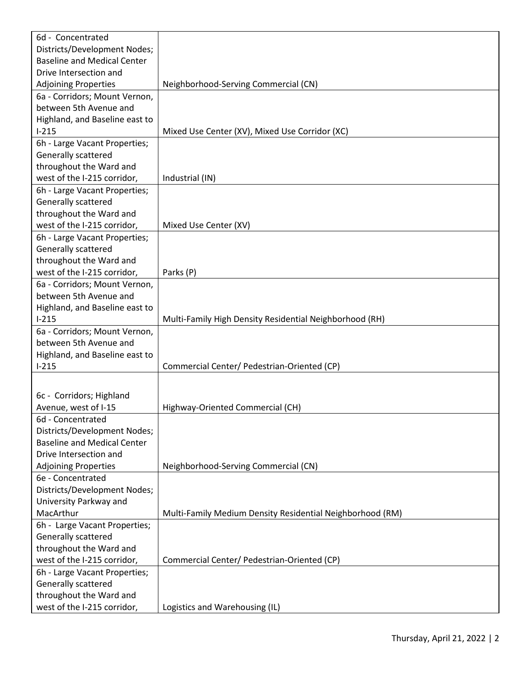| 6d - Concentrated                                                  |                                                           |
|--------------------------------------------------------------------|-----------------------------------------------------------|
| Districts/Development Nodes;                                       |                                                           |
| <b>Baseline and Medical Center</b>                                 |                                                           |
| Drive Intersection and                                             |                                                           |
| <b>Adjoining Properties</b>                                        | Neighborhood-Serving Commercial (CN)                      |
| 6a - Corridors; Mount Vernon,                                      |                                                           |
| between 5th Avenue and                                             |                                                           |
| Highland, and Baseline east to                                     |                                                           |
| $1 - 215$                                                          | Mixed Use Center (XV), Mixed Use Corridor (XC)            |
| 6h - Large Vacant Properties;                                      |                                                           |
| Generally scattered                                                |                                                           |
| throughout the Ward and                                            |                                                           |
| west of the I-215 corridor,                                        | Industrial (IN)                                           |
| 6h - Large Vacant Properties;                                      |                                                           |
| Generally scattered                                                |                                                           |
| throughout the Ward and                                            |                                                           |
| west of the I-215 corridor,                                        | Mixed Use Center (XV)                                     |
| 6h - Large Vacant Properties;                                      |                                                           |
| Generally scattered                                                |                                                           |
| throughout the Ward and                                            |                                                           |
| west of the I-215 corridor,                                        | Parks (P)                                                 |
| 6a - Corridors; Mount Vernon,                                      |                                                           |
| between 5th Avenue and                                             |                                                           |
| Highland, and Baseline east to                                     |                                                           |
| $1 - 215$                                                          | Multi-Family High Density Residential Neighborhood (RH)   |
| 6a - Corridors; Mount Vernon,                                      |                                                           |
| between 5th Avenue and                                             |                                                           |
| Highland, and Baseline east to                                     |                                                           |
| $I-215$                                                            | Commercial Center/ Pedestrian-Oriented (CP)               |
|                                                                    |                                                           |
|                                                                    |                                                           |
| 6c - Corridors; Highland                                           |                                                           |
| Avenue, west of I-15                                               | Highway-Oriented Commercial (CH)                          |
| 6d - Concentrated                                                  |                                                           |
| Districts/Development Nodes;<br><b>Baseline and Medical Center</b> |                                                           |
| Drive Intersection and                                             |                                                           |
|                                                                    |                                                           |
| <b>Adjoining Properties</b><br>6e - Concentrated                   | Neighborhood-Serving Commercial (CN)                      |
| Districts/Development Nodes;                                       |                                                           |
|                                                                    |                                                           |
| University Parkway and<br>MacArthur                                |                                                           |
|                                                                    | Multi-Family Medium Density Residential Neighborhood (RM) |
| 6h - Large Vacant Properties;                                      |                                                           |
| Generally scattered                                                |                                                           |
| throughout the Ward and                                            |                                                           |
| west of the I-215 corridor,                                        | Commercial Center/ Pedestrian-Oriented (CP)               |
| 6h - Large Vacant Properties;                                      |                                                           |
| Generally scattered                                                |                                                           |
| throughout the Ward and                                            |                                                           |
| west of the I-215 corridor,                                        | Logistics and Warehousing (IL)                            |